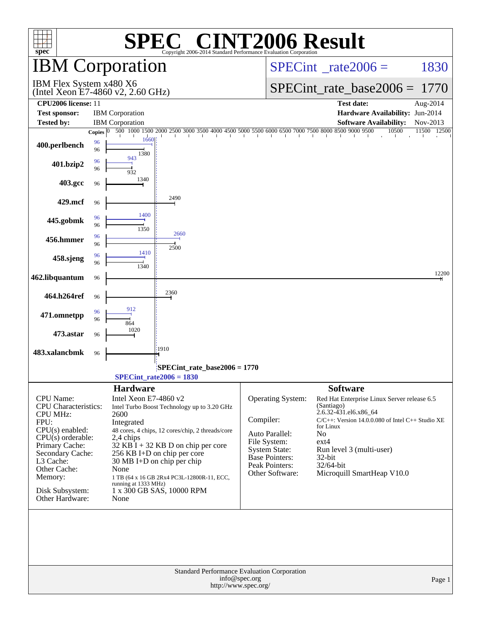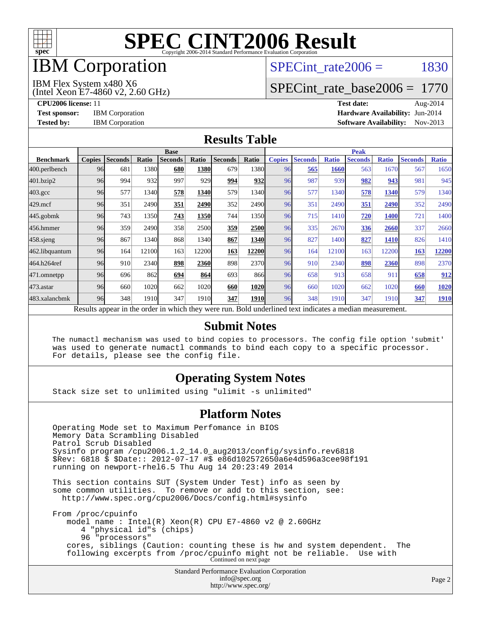

# IBM Corporation

### SPECint rate $2006 = 1830$

(Intel Xeon E7-4860 v2, 2.60 GHz) IBM Flex System x480 X6

### [SPECint\\_rate\\_base2006 =](http://www.spec.org/auto/cpu2006/Docs/result-fields.html#SPECintratebase2006) 1770

**[CPU2006 license:](http://www.spec.org/auto/cpu2006/Docs/result-fields.html#CPU2006license)** 11 **[Test date:](http://www.spec.org/auto/cpu2006/Docs/result-fields.html#Testdate)** Aug-2014 **[Test sponsor:](http://www.spec.org/auto/cpu2006/Docs/result-fields.html#Testsponsor)** IBM Corporation **[Hardware Availability:](http://www.spec.org/auto/cpu2006/Docs/result-fields.html#HardwareAvailability)** Jun-2014 **[Tested by:](http://www.spec.org/auto/cpu2006/Docs/result-fields.html#Testedby)** IBM Corporation **[Software Availability:](http://www.spec.org/auto/cpu2006/Docs/result-fields.html#SoftwareAvailability)** Nov-2013

#### **[Results Table](http://www.spec.org/auto/cpu2006/Docs/result-fields.html#ResultsTable)**

|                    | <b>Base</b>   |                |       |                |       |                                                                                                          |             | <b>Peak</b>   |                |              |                |              |                |              |
|--------------------|---------------|----------------|-------|----------------|-------|----------------------------------------------------------------------------------------------------------|-------------|---------------|----------------|--------------|----------------|--------------|----------------|--------------|
| <b>Benchmark</b>   | <b>Copies</b> | <b>Seconds</b> | Ratio | <b>Seconds</b> | Ratio | <b>Seconds</b>                                                                                           | Ratio       | <b>Copies</b> | <b>Seconds</b> | <b>Ratio</b> | <b>Seconds</b> | <b>Ratio</b> | <b>Seconds</b> | <b>Ratio</b> |
| 400.perlbench      | 96            | 681            | 1380  | 680            | 1380  | 679                                                                                                      | 1380        | 96            | 565            | 1660         | 563            | 1670         | 567            | 1650         |
| 401.bzip2          | 96            | 994            | 932   | 997            | 929   | 994                                                                                                      | 932         | 96            | 987            | 939          | 982            | 943          | 981            | 945          |
| $403.\mathrm{gcc}$ | 96            | 577            | 1340  | 578            | 1340  | 579                                                                                                      | 1340        | 96            | 577            | 1340         | 578            | 1340         | 579            | 1340         |
| $429$ .mcf         | 96            | 351            | 2490  | 351            | 2490  | 352                                                                                                      | 2490        | 96            | 351            | 2490         | 351            | 2490         | 352            | 2490         |
| $445$ .gobmk       | 96            | 743            | 1350  | 743            | 1350  | 744                                                                                                      | 1350        | 96            | 715            | 1410         | 720            | 1400         | 721            | 1400         |
| 456.hmmer          | 96            | 359            | 2490  | 358            | 2500  | 359                                                                                                      | 2500        | 96            | 335            | 2670         | 336            | 2660         | 337            | 2660         |
| 458 sjeng          | 96            | 867            | 1340  | 868            | 1340  | 867                                                                                                      | 1340        | 96            | 827            | 1400         | 827            | <b>1410</b>  | 826            | 1410         |
| 462.libquantum     | 96            | 164            | 12100 | 163            | 12200 | 163                                                                                                      | 12200       | 96            | 164            | 12100        | 163            | 12200        | 163            | 12200        |
| 464.h264ref        | 96            | 910            | 2340  | 898            | 2360  | 898                                                                                                      | 2370        | 96            | 910            | 2340         | 898            | 2360         | 898            | 2370         |
| 471.omnetpp        | 96            | 696            | 862   | 694            | 864   | 693                                                                                                      | 866         | 96            | 658            | 913          | 658            | 911          | 658            | 912          |
| $473$ . astar      | 96            | 660            | 1020  | 662            | 1020  | 660                                                                                                      | 1020        | 96            | 660            | 1020         | 662            | 1020         | 660            | 1020         |
| 483.xalancbmk      | 96            | 348            | 1910  | 347            | 1910  | 347                                                                                                      | <b>1910</b> | 96            | 348            | 1910         | 347            | 1910         | 347            | 1910         |
|                    |               |                |       |                |       | Results appear in the order in which they were run. Bold underlined text indicates a median measurement. |             |               |                |              |                |              |                |              |

#### **[Submit Notes](http://www.spec.org/auto/cpu2006/Docs/result-fields.html#SubmitNotes)**

 The numactl mechanism was used to bind copies to processors. The config file option 'submit' was used to generate numactl commands to bind each copy to a specific processor. For details, please see the config file.

#### **[Operating System Notes](http://www.spec.org/auto/cpu2006/Docs/result-fields.html#OperatingSystemNotes)**

Stack size set to unlimited using "ulimit -s unlimited"

#### **[Platform Notes](http://www.spec.org/auto/cpu2006/Docs/result-fields.html#PlatformNotes)**

 Operating Mode set to Maximum Perfomance in BIOS Memory Data Scrambling Disabled Patrol Scrub Disabled Sysinfo program /cpu2006.1.2\_14.0\_aug2013/config/sysinfo.rev6818 \$Rev: 6818 \$ \$Date:: 2012-07-17 #\$ e86d102572650a6e4d596a3cee98f191 running on newport-rhel6.5 Thu Aug 14 20:23:49 2014 This section contains SUT (System Under Test) info as seen by some common utilities. To remove or add to this section, see: <http://www.spec.org/cpu2006/Docs/config.html#sysinfo> From /proc/cpuinfo model name : Intel(R) Xeon(R) CPU E7-4860 v2 @ 2.60GHz 4 "physical id"s (chips) 96 "processors" cores, siblings (Caution: counting these is hw and system dependent. The following excerpts from /proc/cpuinfo might not be reliable. Use with Continued on next page

Standard Performance Evaluation Corporation [info@spec.org](mailto:info@spec.org) <http://www.spec.org/>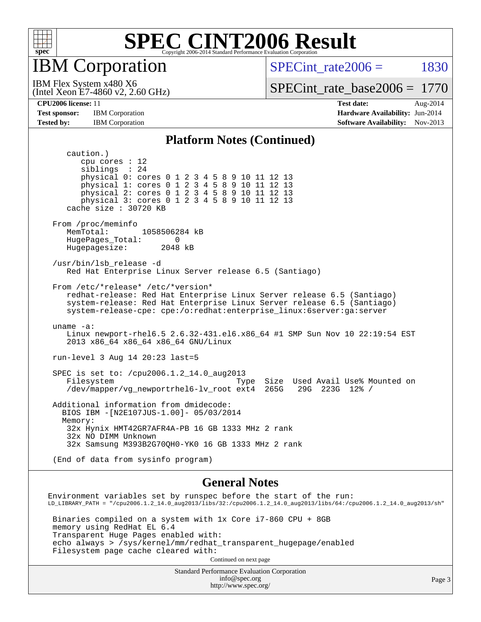

IBM Corporation

SPECint rate $2006 = 1830$ 

(Intel Xeon E7-4860 v2, 2.60 GHz) IBM Flex System x480 X6

[SPECint\\_rate\\_base2006 =](http://www.spec.org/auto/cpu2006/Docs/result-fields.html#SPECintratebase2006) 1770

**[Test sponsor:](http://www.spec.org/auto/cpu2006/Docs/result-fields.html#Testsponsor)** IBM Corporation **[Hardware Availability:](http://www.spec.org/auto/cpu2006/Docs/result-fields.html#HardwareAvailability)** Jun-2014

**[CPU2006 license:](http://www.spec.org/auto/cpu2006/Docs/result-fields.html#CPU2006license)** 11 **[Test date:](http://www.spec.org/auto/cpu2006/Docs/result-fields.html#Testdate)** Aug-2014 **[Tested by:](http://www.spec.org/auto/cpu2006/Docs/result-fields.html#Testedby)** IBM Corporation **IBM** Corporation **[Software Availability:](http://www.spec.org/auto/cpu2006/Docs/result-fields.html#SoftwareAvailability)** Nov-2013

#### **[Platform Notes \(Continued\)](http://www.spec.org/auto/cpu2006/Docs/result-fields.html#PlatformNotes)**

 caution.) cpu cores : 12 siblings : 24 physical 0: cores 0 1 2 3 4 5 8 9 10 11 12 13 physical 1: cores 0 1 2 3 4 5 8 9 10 11 12 13 physical 2: cores 0 1 2 3 4 5 8 9 10 11 12 13 physical 3: cores 0 1 2 3 4 5 8 9 10 11 12 13 cache size : 30720 KB From /proc/meminfo<br>MemTotal: 1058506284 kB HugePages\_Total: 0 Hugepagesize: 2048 kB /usr/bin/lsb\_release -d Red Hat Enterprise Linux Server release 6.5 (Santiago) From /etc/\*release\* /etc/\*version\* redhat-release: Red Hat Enterprise Linux Server release 6.5 (Santiago) system-release: Red Hat Enterprise Linux Server release 6.5 (Santiago) system-release-cpe: cpe:/o:redhat:enterprise\_linux:6server:ga:server uname -a: Linux newport-rhel6.5 2.6.32-431.el6.x86\_64 #1 SMP Sun Nov 10 22:19:54 EST 2013 x86\_64 x86\_64 x86\_64 GNU/Linux run-level 3 Aug 14 20:23 last=5 SPEC is set to: /cpu2006.1.2\_14.0\_aug2013 Filesystem Type Size Used Avail Use% Mounted on /dev/mapper/vg\_newportrhel6-lv\_root ext4 265G 29G 223G 12% / Additional information from dmidecode: BIOS IBM -[N2E107JUS-1.00]- 05/03/2014 Memory: 32x Hynix HMT42GR7AFR4A-PB 16 GB 1333 MHz 2 rank 32x NO DIMM Unknown 32x Samsung M393B2G70QH0-YK0 16 GB 1333 MHz 2 rank (End of data from sysinfo program)

#### **[General Notes](http://www.spec.org/auto/cpu2006/Docs/result-fields.html#GeneralNotes)**

Environment variables set by runspec before the start of the run: LD\_LIBRARY\_PATH = "/cpu2006.1.2\_14.0\_aug2013/libs/32:/cpu2006.1.2\_14.0\_aug2013/libs/64:/cpu2006.1.2\_14.0\_aug2013/sh" Binaries compiled on a system with 1x Core i7-860 CPU + 8GB memory using RedHat EL 6.4 Transparent Huge Pages enabled with: echo always > /sys/kernel/mm/redhat\_transparent\_hugepage/enabled Filesystem page cache cleared with: Continued on next page

Standard Performance Evaluation Corporation [info@spec.org](mailto:info@spec.org) <http://www.spec.org/>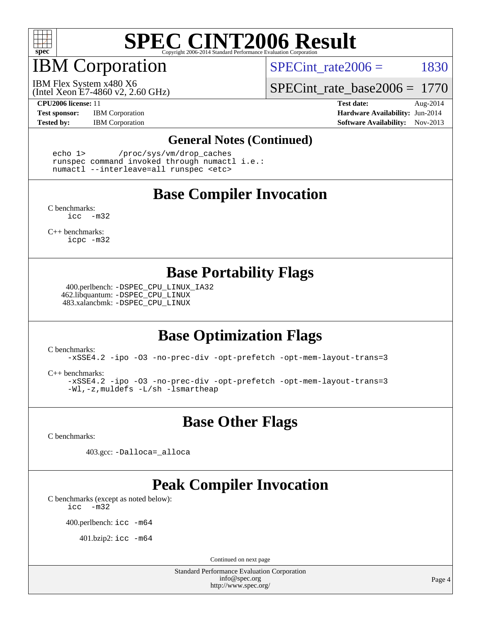

# IBM Corporation

SPECint rate $2006 = 1830$ 

(Intel Xeon E7-4860 v2, 2.60 GHz) IBM Flex System x480 X6

[SPECint\\_rate\\_base2006 =](http://www.spec.org/auto/cpu2006/Docs/result-fields.html#SPECintratebase2006) 1770

**[Test sponsor:](http://www.spec.org/auto/cpu2006/Docs/result-fields.html#Testsponsor)** IBM Corporation **[Hardware Availability:](http://www.spec.org/auto/cpu2006/Docs/result-fields.html#HardwareAvailability)** Jun-2014

**[CPU2006 license:](http://www.spec.org/auto/cpu2006/Docs/result-fields.html#CPU2006license)** 11 **[Test date:](http://www.spec.org/auto/cpu2006/Docs/result-fields.html#Testdate)** Aug-2014 **[Tested by:](http://www.spec.org/auto/cpu2006/Docs/result-fields.html#Testedby)** IBM Corporation **IBM** Corporation **[Software Availability:](http://www.spec.org/auto/cpu2006/Docs/result-fields.html#SoftwareAvailability)** Nov-2013

#### **[General Notes \(Continued\)](http://www.spec.org/auto/cpu2006/Docs/result-fields.html#GeneralNotes)**

 echo 1> /proc/sys/vm/drop\_caches runspec command invoked through numactl i.e.: numactl --interleave=all runspec <etc>

## **[Base Compiler Invocation](http://www.spec.org/auto/cpu2006/Docs/result-fields.html#BaseCompilerInvocation)**

[C benchmarks](http://www.spec.org/auto/cpu2006/Docs/result-fields.html#Cbenchmarks): [icc -m32](http://www.spec.org/cpu2006/results/res2014q3/cpu2006-20140825-31030.flags.html#user_CCbase_intel_icc_5ff4a39e364c98233615fdd38438c6f2)

[C++ benchmarks:](http://www.spec.org/auto/cpu2006/Docs/result-fields.html#CXXbenchmarks) [icpc -m32](http://www.spec.org/cpu2006/results/res2014q3/cpu2006-20140825-31030.flags.html#user_CXXbase_intel_icpc_4e5a5ef1a53fd332b3c49e69c3330699)

### **[Base Portability Flags](http://www.spec.org/auto/cpu2006/Docs/result-fields.html#BasePortabilityFlags)**

 400.perlbench: [-DSPEC\\_CPU\\_LINUX\\_IA32](http://www.spec.org/cpu2006/results/res2014q3/cpu2006-20140825-31030.flags.html#b400.perlbench_baseCPORTABILITY_DSPEC_CPU_LINUX_IA32) 462.libquantum: [-DSPEC\\_CPU\\_LINUX](http://www.spec.org/cpu2006/results/res2014q3/cpu2006-20140825-31030.flags.html#b462.libquantum_baseCPORTABILITY_DSPEC_CPU_LINUX) 483.xalancbmk: [-DSPEC\\_CPU\\_LINUX](http://www.spec.org/cpu2006/results/res2014q3/cpu2006-20140825-31030.flags.html#b483.xalancbmk_baseCXXPORTABILITY_DSPEC_CPU_LINUX)

## **[Base Optimization Flags](http://www.spec.org/auto/cpu2006/Docs/result-fields.html#BaseOptimizationFlags)**

[C benchmarks](http://www.spec.org/auto/cpu2006/Docs/result-fields.html#Cbenchmarks):

[-xSSE4.2](http://www.spec.org/cpu2006/results/res2014q3/cpu2006-20140825-31030.flags.html#user_CCbase_f-xSSE42_f91528193cf0b216347adb8b939d4107) [-ipo](http://www.spec.org/cpu2006/results/res2014q3/cpu2006-20140825-31030.flags.html#user_CCbase_f-ipo) [-O3](http://www.spec.org/cpu2006/results/res2014q3/cpu2006-20140825-31030.flags.html#user_CCbase_f-O3) [-no-prec-div](http://www.spec.org/cpu2006/results/res2014q3/cpu2006-20140825-31030.flags.html#user_CCbase_f-no-prec-div) [-opt-prefetch](http://www.spec.org/cpu2006/results/res2014q3/cpu2006-20140825-31030.flags.html#user_CCbase_f-opt-prefetch) [-opt-mem-layout-trans=3](http://www.spec.org/cpu2006/results/res2014q3/cpu2006-20140825-31030.flags.html#user_CCbase_f-opt-mem-layout-trans_a7b82ad4bd7abf52556d4961a2ae94d5)

[C++ benchmarks:](http://www.spec.org/auto/cpu2006/Docs/result-fields.html#CXXbenchmarks)

[-xSSE4.2](http://www.spec.org/cpu2006/results/res2014q3/cpu2006-20140825-31030.flags.html#user_CXXbase_f-xSSE42_f91528193cf0b216347adb8b939d4107) [-ipo](http://www.spec.org/cpu2006/results/res2014q3/cpu2006-20140825-31030.flags.html#user_CXXbase_f-ipo) [-O3](http://www.spec.org/cpu2006/results/res2014q3/cpu2006-20140825-31030.flags.html#user_CXXbase_f-O3) [-no-prec-div](http://www.spec.org/cpu2006/results/res2014q3/cpu2006-20140825-31030.flags.html#user_CXXbase_f-no-prec-div) [-opt-prefetch](http://www.spec.org/cpu2006/results/res2014q3/cpu2006-20140825-31030.flags.html#user_CXXbase_f-opt-prefetch) [-opt-mem-layout-trans=3](http://www.spec.org/cpu2006/results/res2014q3/cpu2006-20140825-31030.flags.html#user_CXXbase_f-opt-mem-layout-trans_a7b82ad4bd7abf52556d4961a2ae94d5) [-Wl,-z,muldefs](http://www.spec.org/cpu2006/results/res2014q3/cpu2006-20140825-31030.flags.html#user_CXXbase_link_force_multiple1_74079c344b956b9658436fd1b6dd3a8a) [-L/sh -lsmartheap](http://www.spec.org/cpu2006/results/res2014q3/cpu2006-20140825-31030.flags.html#user_CXXbase_SmartHeap_32f6c82aa1ed9c52345d30cf6e4a0499)

**[Base Other Flags](http://www.spec.org/auto/cpu2006/Docs/result-fields.html#BaseOtherFlags)**

[C benchmarks](http://www.spec.org/auto/cpu2006/Docs/result-fields.html#Cbenchmarks):

403.gcc: [-Dalloca=\\_alloca](http://www.spec.org/cpu2006/results/res2014q3/cpu2006-20140825-31030.flags.html#b403.gcc_baseEXTRA_CFLAGS_Dalloca_be3056838c12de2578596ca5467af7f3)

## **[Peak Compiler Invocation](http://www.spec.org/auto/cpu2006/Docs/result-fields.html#PeakCompilerInvocation)**

[C benchmarks \(except as noted below\)](http://www.spec.org/auto/cpu2006/Docs/result-fields.html#Cbenchmarksexceptasnotedbelow): [icc -m32](http://www.spec.org/cpu2006/results/res2014q3/cpu2006-20140825-31030.flags.html#user_CCpeak_intel_icc_5ff4a39e364c98233615fdd38438c6f2)

400.perlbench: [icc -m64](http://www.spec.org/cpu2006/results/res2014q3/cpu2006-20140825-31030.flags.html#user_peakCCLD400_perlbench_intel_icc_64bit_bda6cc9af1fdbb0edc3795bac97ada53)

401.bzip2: [icc -m64](http://www.spec.org/cpu2006/results/res2014q3/cpu2006-20140825-31030.flags.html#user_peakCCLD401_bzip2_intel_icc_64bit_bda6cc9af1fdbb0edc3795bac97ada53)

Continued on next page

Standard Performance Evaluation Corporation [info@spec.org](mailto:info@spec.org) <http://www.spec.org/>

Page 4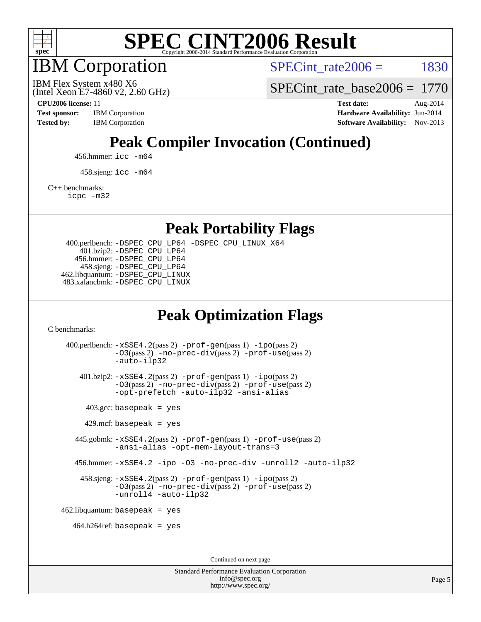

IBM Corporation

SPECint rate $2006 = 1830$ 

(Intel Xeon E7-4860 v2, 2.60 GHz) IBM Flex System x480 X6

[SPECint\\_rate\\_base2006 =](http://www.spec.org/auto/cpu2006/Docs/result-fields.html#SPECintratebase2006) 1770

**[CPU2006 license:](http://www.spec.org/auto/cpu2006/Docs/result-fields.html#CPU2006license)** 11 **[Test date:](http://www.spec.org/auto/cpu2006/Docs/result-fields.html#Testdate)** Aug-2014 **[Test sponsor:](http://www.spec.org/auto/cpu2006/Docs/result-fields.html#Testsponsor)** IBM Corporation **[Hardware Availability:](http://www.spec.org/auto/cpu2006/Docs/result-fields.html#HardwareAvailability)** Jun-2014 **[Tested by:](http://www.spec.org/auto/cpu2006/Docs/result-fields.html#Testedby)** IBM Corporation **IBM** Corporation **[Software Availability:](http://www.spec.org/auto/cpu2006/Docs/result-fields.html#SoftwareAvailability)** Nov-2013

## **[Peak Compiler Invocation \(Continued\)](http://www.spec.org/auto/cpu2006/Docs/result-fields.html#PeakCompilerInvocation)**

456.hmmer: [icc -m64](http://www.spec.org/cpu2006/results/res2014q3/cpu2006-20140825-31030.flags.html#user_peakCCLD456_hmmer_intel_icc_64bit_bda6cc9af1fdbb0edc3795bac97ada53)

458.sjeng: [icc -m64](http://www.spec.org/cpu2006/results/res2014q3/cpu2006-20140825-31030.flags.html#user_peakCCLD458_sjeng_intel_icc_64bit_bda6cc9af1fdbb0edc3795bac97ada53)

[C++ benchmarks:](http://www.spec.org/auto/cpu2006/Docs/result-fields.html#CXXbenchmarks)

[icpc -m32](http://www.spec.org/cpu2006/results/res2014q3/cpu2006-20140825-31030.flags.html#user_CXXpeak_intel_icpc_4e5a5ef1a53fd332b3c49e69c3330699)

**[Peak Portability Flags](http://www.spec.org/auto/cpu2006/Docs/result-fields.html#PeakPortabilityFlags)**

 400.perlbench: [-DSPEC\\_CPU\\_LP64](http://www.spec.org/cpu2006/results/res2014q3/cpu2006-20140825-31030.flags.html#b400.perlbench_peakCPORTABILITY_DSPEC_CPU_LP64) [-DSPEC\\_CPU\\_LINUX\\_X64](http://www.spec.org/cpu2006/results/res2014q3/cpu2006-20140825-31030.flags.html#b400.perlbench_peakCPORTABILITY_DSPEC_CPU_LINUX_X64) 401.bzip2: [-DSPEC\\_CPU\\_LP64](http://www.spec.org/cpu2006/results/res2014q3/cpu2006-20140825-31030.flags.html#suite_peakCPORTABILITY401_bzip2_DSPEC_CPU_LP64) 456.hmmer: [-DSPEC\\_CPU\\_LP64](http://www.spec.org/cpu2006/results/res2014q3/cpu2006-20140825-31030.flags.html#suite_peakCPORTABILITY456_hmmer_DSPEC_CPU_LP64) 458.sjeng: [-DSPEC\\_CPU\\_LP64](http://www.spec.org/cpu2006/results/res2014q3/cpu2006-20140825-31030.flags.html#suite_peakCPORTABILITY458_sjeng_DSPEC_CPU_LP64) 462.libquantum: [-DSPEC\\_CPU\\_LINUX](http://www.spec.org/cpu2006/results/res2014q3/cpu2006-20140825-31030.flags.html#b462.libquantum_peakCPORTABILITY_DSPEC_CPU_LINUX) 483.xalancbmk: [-DSPEC\\_CPU\\_LINUX](http://www.spec.org/cpu2006/results/res2014q3/cpu2006-20140825-31030.flags.html#b483.xalancbmk_peakCXXPORTABILITY_DSPEC_CPU_LINUX)

## **[Peak Optimization Flags](http://www.spec.org/auto/cpu2006/Docs/result-fields.html#PeakOptimizationFlags)**

[C benchmarks](http://www.spec.org/auto/cpu2006/Docs/result-fields.html#Cbenchmarks):

 400.perlbench: [-xSSE4.2](http://www.spec.org/cpu2006/results/res2014q3/cpu2006-20140825-31030.flags.html#user_peakPASS2_CFLAGSPASS2_LDCFLAGS400_perlbench_f-xSSE42_f91528193cf0b216347adb8b939d4107)(pass 2) [-prof-gen](http://www.spec.org/cpu2006/results/res2014q3/cpu2006-20140825-31030.flags.html#user_peakPASS1_CFLAGSPASS1_LDCFLAGS400_perlbench_prof_gen_e43856698f6ca7b7e442dfd80e94a8fc)(pass 1) [-ipo](http://www.spec.org/cpu2006/results/res2014q3/cpu2006-20140825-31030.flags.html#user_peakPASS2_CFLAGSPASS2_LDCFLAGS400_perlbench_f-ipo)(pass 2) [-O3](http://www.spec.org/cpu2006/results/res2014q3/cpu2006-20140825-31030.flags.html#user_peakPASS2_CFLAGSPASS2_LDCFLAGS400_perlbench_f-O3)(pass 2) [-no-prec-div](http://www.spec.org/cpu2006/results/res2014q3/cpu2006-20140825-31030.flags.html#user_peakPASS2_CFLAGSPASS2_LDCFLAGS400_perlbench_f-no-prec-div)(pass 2) [-prof-use](http://www.spec.org/cpu2006/results/res2014q3/cpu2006-20140825-31030.flags.html#user_peakPASS2_CFLAGSPASS2_LDCFLAGS400_perlbench_prof_use_bccf7792157ff70d64e32fe3e1250b55)(pass 2) [-auto-ilp32](http://www.spec.org/cpu2006/results/res2014q3/cpu2006-20140825-31030.flags.html#user_peakCOPTIMIZE400_perlbench_f-auto-ilp32) 401.bzip2: [-xSSE4.2](http://www.spec.org/cpu2006/results/res2014q3/cpu2006-20140825-31030.flags.html#user_peakPASS2_CFLAGSPASS2_LDCFLAGS401_bzip2_f-xSSE42_f91528193cf0b216347adb8b939d4107)(pass 2) [-prof-gen](http://www.spec.org/cpu2006/results/res2014q3/cpu2006-20140825-31030.flags.html#user_peakPASS1_CFLAGSPASS1_LDCFLAGS401_bzip2_prof_gen_e43856698f6ca7b7e442dfd80e94a8fc)(pass 1) [-ipo](http://www.spec.org/cpu2006/results/res2014q3/cpu2006-20140825-31030.flags.html#user_peakPASS2_CFLAGSPASS2_LDCFLAGS401_bzip2_f-ipo)(pass 2) [-O3](http://www.spec.org/cpu2006/results/res2014q3/cpu2006-20140825-31030.flags.html#user_peakPASS2_CFLAGSPASS2_LDCFLAGS401_bzip2_f-O3)(pass 2) [-no-prec-div](http://www.spec.org/cpu2006/results/res2014q3/cpu2006-20140825-31030.flags.html#user_peakPASS2_CFLAGSPASS2_LDCFLAGS401_bzip2_f-no-prec-div)(pass 2) [-prof-use](http://www.spec.org/cpu2006/results/res2014q3/cpu2006-20140825-31030.flags.html#user_peakPASS2_CFLAGSPASS2_LDCFLAGS401_bzip2_prof_use_bccf7792157ff70d64e32fe3e1250b55)(pass 2) [-opt-prefetch](http://www.spec.org/cpu2006/results/res2014q3/cpu2006-20140825-31030.flags.html#user_peakCOPTIMIZE401_bzip2_f-opt-prefetch) [-auto-ilp32](http://www.spec.org/cpu2006/results/res2014q3/cpu2006-20140825-31030.flags.html#user_peakCOPTIMIZE401_bzip2_f-auto-ilp32) [-ansi-alias](http://www.spec.org/cpu2006/results/res2014q3/cpu2006-20140825-31030.flags.html#user_peakCOPTIMIZE401_bzip2_f-ansi-alias)  $403.\text{gcc: basepeak}$  = yes  $429$ .mcf: basepeak = yes 445.gobmk: [-xSSE4.2](http://www.spec.org/cpu2006/results/res2014q3/cpu2006-20140825-31030.flags.html#user_peakPASS2_CFLAGSPASS2_LDCFLAGS445_gobmk_f-xSSE42_f91528193cf0b216347adb8b939d4107)(pass 2) [-prof-gen](http://www.spec.org/cpu2006/results/res2014q3/cpu2006-20140825-31030.flags.html#user_peakPASS1_CFLAGSPASS1_LDCFLAGS445_gobmk_prof_gen_e43856698f6ca7b7e442dfd80e94a8fc)(pass 1) [-prof-use](http://www.spec.org/cpu2006/results/res2014q3/cpu2006-20140825-31030.flags.html#user_peakPASS2_CFLAGSPASS2_LDCFLAGS445_gobmk_prof_use_bccf7792157ff70d64e32fe3e1250b55)(pass 2) [-ansi-alias](http://www.spec.org/cpu2006/results/res2014q3/cpu2006-20140825-31030.flags.html#user_peakCOPTIMIZE445_gobmk_f-ansi-alias) [-opt-mem-layout-trans=3](http://www.spec.org/cpu2006/results/res2014q3/cpu2006-20140825-31030.flags.html#user_peakCOPTIMIZE445_gobmk_f-opt-mem-layout-trans_a7b82ad4bd7abf52556d4961a2ae94d5) 456.hmmer: [-xSSE4.2](http://www.spec.org/cpu2006/results/res2014q3/cpu2006-20140825-31030.flags.html#user_peakCOPTIMIZE456_hmmer_f-xSSE42_f91528193cf0b216347adb8b939d4107) [-ipo](http://www.spec.org/cpu2006/results/res2014q3/cpu2006-20140825-31030.flags.html#user_peakCOPTIMIZE456_hmmer_f-ipo) [-O3](http://www.spec.org/cpu2006/results/res2014q3/cpu2006-20140825-31030.flags.html#user_peakCOPTIMIZE456_hmmer_f-O3) [-no-prec-div](http://www.spec.org/cpu2006/results/res2014q3/cpu2006-20140825-31030.flags.html#user_peakCOPTIMIZE456_hmmer_f-no-prec-div) [-unroll2](http://www.spec.org/cpu2006/results/res2014q3/cpu2006-20140825-31030.flags.html#user_peakCOPTIMIZE456_hmmer_f-unroll_784dae83bebfb236979b41d2422d7ec2) [-auto-ilp32](http://www.spec.org/cpu2006/results/res2014q3/cpu2006-20140825-31030.flags.html#user_peakCOPTIMIZE456_hmmer_f-auto-ilp32) 458.sjeng: [-xSSE4.2](http://www.spec.org/cpu2006/results/res2014q3/cpu2006-20140825-31030.flags.html#user_peakPASS2_CFLAGSPASS2_LDCFLAGS458_sjeng_f-xSSE42_f91528193cf0b216347adb8b939d4107)(pass 2) [-prof-gen](http://www.spec.org/cpu2006/results/res2014q3/cpu2006-20140825-31030.flags.html#user_peakPASS1_CFLAGSPASS1_LDCFLAGS458_sjeng_prof_gen_e43856698f6ca7b7e442dfd80e94a8fc)(pass 1) [-ipo](http://www.spec.org/cpu2006/results/res2014q3/cpu2006-20140825-31030.flags.html#user_peakPASS2_CFLAGSPASS2_LDCFLAGS458_sjeng_f-ipo)(pass 2) [-O3](http://www.spec.org/cpu2006/results/res2014q3/cpu2006-20140825-31030.flags.html#user_peakPASS2_CFLAGSPASS2_LDCFLAGS458_sjeng_f-O3)(pass 2) [-no-prec-div](http://www.spec.org/cpu2006/results/res2014q3/cpu2006-20140825-31030.flags.html#user_peakPASS2_CFLAGSPASS2_LDCFLAGS458_sjeng_f-no-prec-div)(pass 2) [-prof-use](http://www.spec.org/cpu2006/results/res2014q3/cpu2006-20140825-31030.flags.html#user_peakPASS2_CFLAGSPASS2_LDCFLAGS458_sjeng_prof_use_bccf7792157ff70d64e32fe3e1250b55)(pass 2) [-unroll4](http://www.spec.org/cpu2006/results/res2014q3/cpu2006-20140825-31030.flags.html#user_peakCOPTIMIZE458_sjeng_f-unroll_4e5e4ed65b7fd20bdcd365bec371b81f) [-auto-ilp32](http://www.spec.org/cpu2006/results/res2014q3/cpu2006-20140825-31030.flags.html#user_peakCOPTIMIZE458_sjeng_f-auto-ilp32)  $462$ .libquantum: basepeak = yes  $464.h264$ ref: basepeak = yes Continued on next page

> Standard Performance Evaluation Corporation [info@spec.org](mailto:info@spec.org) <http://www.spec.org/>

Page 5